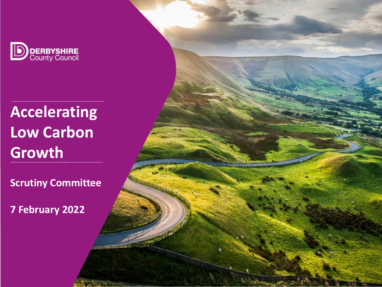

**Accelerating Low Carbon Growth** 

**Scrutiny Committee**

Controlled Controlled

**7 February 2022**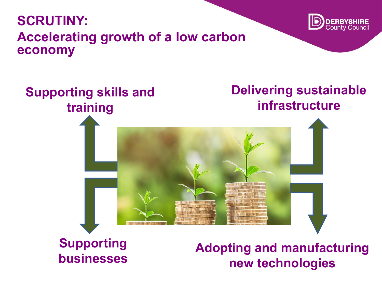## **SCRUTINY: Accelerating growth of a low carbon economy**





**Supporting** 

**businesses Adopting and manufacturing new technologies**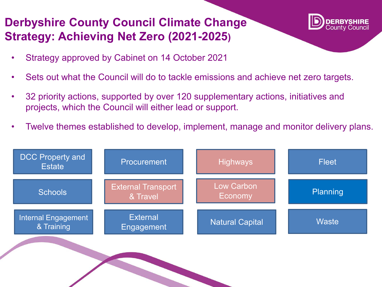### **Derbyshire County Council Climate Change Strategy: Achieving Net Zero (2021-2025)**



- Strategy approved by Cabinet on 14 October 2021
- Sets out what the Council will do to tackle emissions and achieve net zero targets.
- 32 priority actions, supported by over 120 supplementary actions, initiatives and projects, which the Council will either lead or support.
- Twelve themes established to develop, implement, manage and monitor delivery plans.



CONTROLLER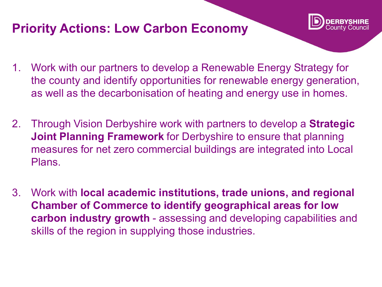## **Priority Actions: Low Carbon Economy**



- 1. Work with our partners to develop a Renewable Energy Strategy for the county and identify opportunities for renewable energy generation, as well as the decarbonisation of heating and energy use in homes.
- 2. Through Vision Derbyshire work with partners to develop a **Strategic Joint Planning Framework** for Derbyshire to ensure that planning measures for net zero commercial buildings are integrated into Local Plans.
- 3. Work with **local academic institutions, trade unions, and regional Chamber of Commerce to identify geographical areas for low carbon industry growth** - assessing and developing capabilities and skills of the region in supplying those industries.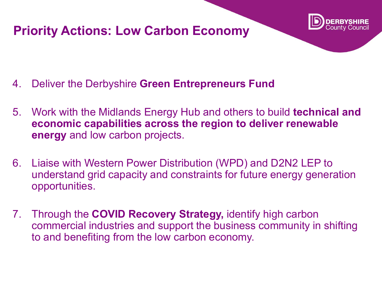## **Priority Actions: Low Carbon Economy**



- 4. Deliver the Derbyshire **Green Entrepreneurs Fund**
- 5. Work with the Midlands Energy Hub and others to build **technical and economic capabilities across the region to deliver renewable energy** and low carbon projects.
- 6. Liaise with Western Power Distribution (WPD) and D2N2 LEP to understand grid capacity and constraints for future energy generation opportunities.
- 7. Through the **COVID Recovery Strategy,** identify high carbon commercial industries and support the business community in shifting to and benefiting from the low carbon economy.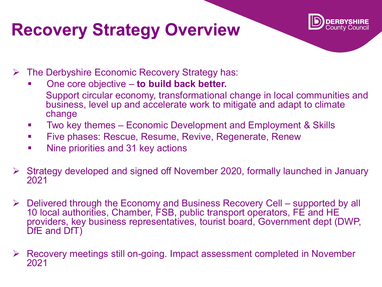# **Recovery Strategy Overview**



- The Derbyshire Economic Recovery Strategy has:
	- One core objective **to build back better.**  Support circular economy, transformational change in local communities and business, level up and accelerate work to mitigate and adapt to climate change
	- **Two key themes Economic Development and Employment & Skills**
	- **Five phases: Rescue, Resume, Revive, Regenerate, Renew**
	- **Nine priorities and 31 key actions**
- Strategy developed and signed off November 2020, formally launched in January 2021
- $\triangleright$  Delivered through the Economy and Business Recovery Cell supported by all 10 local authorities, Chamber, FSB, public transport operators, FE and HE providers, key business representatives, tourist board, Government dept (DWP, DfE and DfT)
- Recovery meetings still on-going. Impact assessment completed in November 2021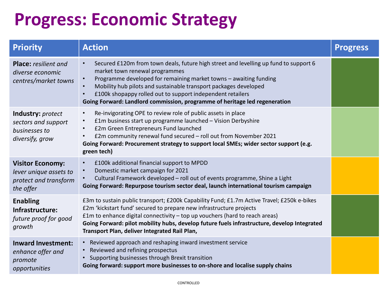# **Progress: Economic Strategy**

| <b>Priority</b>                                                                         | <b>Action</b>                                                                                                                                                                                                                                                                                                                                                                                                                         | <b>Progress</b> |
|-----------------------------------------------------------------------------------------|---------------------------------------------------------------------------------------------------------------------------------------------------------------------------------------------------------------------------------------------------------------------------------------------------------------------------------------------------------------------------------------------------------------------------------------|-----------------|
| <b>Place:</b> resilient and<br>diverse economic<br>centres/market towns                 | Secured £120m from town deals, future high street and levelling up fund to support 6<br>$\bullet$<br>market town renewal programmes<br>Programme developed for remaining market towns - awaiting funding<br>$\bullet$<br>Mobility hub pilots and sustainable transport packages developed<br>£100k shopappy rolled out to support independent retailers<br>Going Forward: Landlord commission, programme of heritage led regeneration |                 |
| <b>Industry:</b> protect<br>sectors and support<br>businesses to<br>diversify, grow     | Re-invigorating OPE to review role of public assets in place<br>$\bullet$<br>£1m business start up programme launched - Vision Derbyshire<br>$\bullet$<br>£2m Green Entrepreneurs Fund launched<br>$\bullet$<br>£2m community renewal fund secured - roll out from November 2021<br>$\bullet$<br>Going Forward: Procurement strategy to support local SMEs; wider sector support (e.g.<br>green tech)                                 |                 |
| <b>Visitor Economy:</b><br>lever unique assets to<br>protect and transform<br>the offer | £100k additional financial support to MPDD<br>$\bullet$<br>Domestic market campaign for 2021<br>Cultural Framework developed - roll out of events programme, Shine a Light<br>Going Forward: Repurpose tourism sector deal, launch international tourism campaign                                                                                                                                                                     |                 |
| <b>Enabling</b><br>Infrastructure:<br>future proof for good<br>growth                   | £3m to sustain public transport; £200k Capability Fund; £1.7m Active Travel; £250k e-bikes<br>£2m 'kickstart fund' secured to prepare new infrastructure projects<br>£1m to enhance digital connectivity $-$ top up vouchers (hard to reach areas)<br>Going Forward: pilot mobility hubs, develop future fuels infrastructure, develop Integrated<br>Transport Plan, deliver Integrated Rail Plan,                                    |                 |
| <b>Inward Investment:</b><br>enhance offer and<br>promote<br>opportunities              | • Reviewed approach and reshaping inward investment service<br>• Reviewed and refining prospectus<br>• Supporting businesses through Brexit transition<br>Going forward: support more businesses to on-shore and localise supply chains                                                                                                                                                                                               |                 |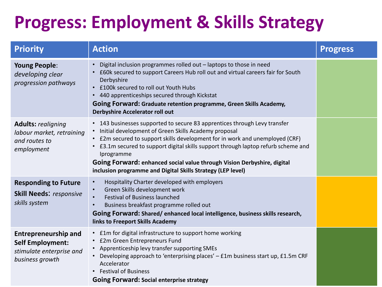# **Progress: Employment & Skills Strategy**

| <b>Priority</b>                                                                                       | <b>Action</b>                                                                                                                                                                                                                                                                                                                                                                                                                                                     | <b>Progress</b> |
|-------------------------------------------------------------------------------------------------------|-------------------------------------------------------------------------------------------------------------------------------------------------------------------------------------------------------------------------------------------------------------------------------------------------------------------------------------------------------------------------------------------------------------------------------------------------------------------|-----------------|
| <b>Young People:</b><br>developing clear<br>progression pathways                                      | Digital inclusion programmes rolled out - laptops to those in need<br>• £60k secured to support Careers Hub roll out and virtual careers fair for South<br>Derbyshire<br>• £100k secured to roll out Youth Hubs<br>• 440 apprenticeships secured through Kickstat<br>Going Forward: Graduate retention programme, Green Skills Academy,<br>Derbyshire Accelerator roll out                                                                                        |                 |
| <b>Adults: realigning</b><br>labour market, retraining<br>and routes to<br>employment                 | • 143 businesses supported to secure 83 apprentices through Levy transfer<br>• Initial development of Green Skills Academy proposal<br>• £2m secured to support skills development for in work and unemployed (CRF)<br>• £3.1m secured to support digital skills support through laptop refurb scheme and<br>Iprogramme<br>Going Forward: enhanced social value through Vision Derbyshire, digital<br>inclusion programme and Digital Skills Strategy (LEP level) |                 |
| <b>Responding to Future</b><br><b>Skill Needs: responsive</b><br>skills system                        | Hospitality Charter developed with employers<br>Green Skills development work<br><b>Festival of Business launched</b><br>Business breakfast programme rolled out<br>Going Forward: Shared/enhanced local intelligence, business skills research,<br>links to Freeport Skills Academy                                                                                                                                                                              |                 |
| <b>Entrepreneurship and</b><br><b>Self Employment:</b><br>stimulate enterprise and<br>business growth | • £1m for digital infrastructure to support home working<br>• £2m Green Entrepreneurs Fund<br>• Apprenticeship levy transfer supporting SMEs<br>• Developing approach to 'enterprising places' - £1m business start up, £1.5m CRF<br>Accelerator<br>• Festival of Business<br><b>Going Forward: Social enterprise strategy</b>                                                                                                                                    |                 |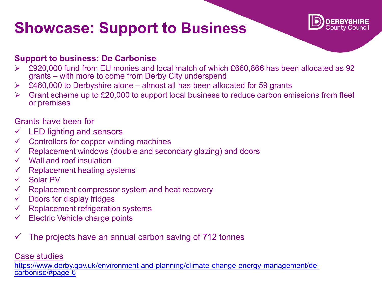# **Showcase: Support to Business**



### **Support to business: De Carbonise**

- £920,000 fund from EU monies and local match of which £660,866 has been allocated as 92 grants – with more to come from Derby City underspend
- $\triangleright$  £460,000 to Derbyshire alone almost all has been allocated for 59 grants
- $\triangleright$  Grant scheme up to £20,000 to support local business to reduce carbon emissions from fleet or premises

#### Grants have been for

- $\checkmark$  LED lighting and sensors
- $\checkmark$  Controllers for copper winding machines
- Replacement windows (double and secondary glazing) and doors
- $\checkmark$  Wall and roof insulation
- $\checkmark$  Replacement heating systems
- Solar PV
- $\checkmark$  Replacement compressor system and heat recovery
- $\checkmark$  Doors for display fridges
- $\checkmark$  Replacement refrigeration systems
- $\checkmark$  Electric Vehicle charge points
- $\checkmark$  The projects have an annual carbon saving of 712 tonnes

#### [Case studies](https://www.derby.gov.uk/environment-and-planning/climate-change-energy-management/de-carbonise/#page-6)

[https://www.derby.gov.uk/environment-and-planning/climate-change-energy-management/de-](https://www.derby.gov.uk/environment-and-planning/climate-change-energy-management/de-carbonise/#page-6)<br>carbonise/#page-6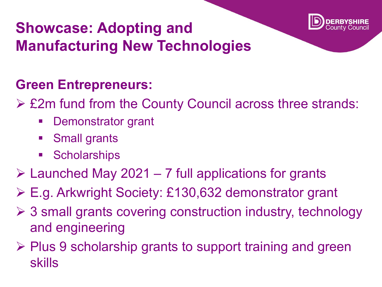

## **Showcase: Adopting and Manufacturing New Technologies**

## **Green Entrepreneurs:**

- £2m fund from the County Council across three strands:
	- Demonstrator grant
	- **Small grants**
	- **Scholarships**
- $\triangleright$  Launched May 2021 7 full applications for grants
- E.g. Arkwright Society: £130,632 demonstrator grant
- $\geq$  3 small grants covering construction industry, technology and engineering
- $\triangleright$  Plus 9 scholarship grants to support training and green skills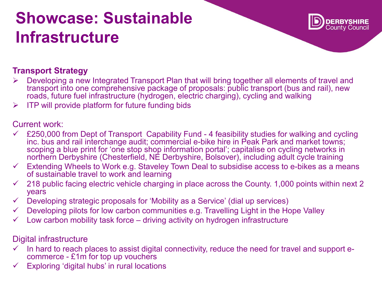# **Showcase: Sustainable Infrastructure**



### **Transport Strategy**

- Developing a new Integrated Transport Plan that will bring together all elements of travel and transport into one comprehensive package of proposals: public transport (bus and rail), new roads, future fuel infrastructure (hydrogen, electric charging), cycling and walking
- $\triangleright$  ITP will provide platform for future funding bids

### Current work:

- $\checkmark$  £250,000 from Dept of Transport Capability Fund 4 feasibility studies for walking and cycling inc. bus and rail interchange audit; commercial e-bike hire in Peak Park and market towns; scoping a blue print for 'one stop shop information portal'; capitalise on cycling networks in northern Derbyshire (Chesterfield, NE Derbyshire, Bolsover), including adult cycle training
- $\checkmark$  Extending Wheels to Work e.g. Staveley Town Deal to subsidise access to e-bikes as a means of sustainable travel to work and learning
- $\checkmark$  218 public facing electric vehicle charging in place across the County. 1,000 points within next 2 years
- Developing strategic proposals for 'Mobility as a Service' (dial up services)
- $\checkmark$  Developing pilots for low carbon communities e.g. Travelling Light in the Hope Valley
- $\checkmark$  Low carbon mobility task force driving activity on hydrogen infrastructure

### Digital infrastructure

- In hard to reach places to assist digital connectivity, reduce the need for travel and support e- commerce £1m for top up vouchers
- $\checkmark$  Exploring 'digital hubs' in rural locations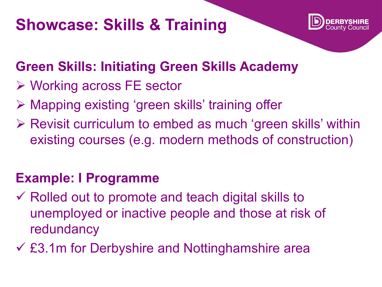# **Showcase: Skills & Training**



## **Green Skills: Initiating Green Skills Academy**

- Working across FE sector
- Mapping existing 'green skills' training offer
- $\triangleright$  Revisit curriculum to embed as much 'green skills' within existing courses (e.g. modern methods of construction)

## **Example: I Programme**

- $\checkmark$  Rolled out to promote and teach digital skills to unemployed or inactive people and those at risk of redundancy
- £3.1m for Derbyshire and Nottinghamshire area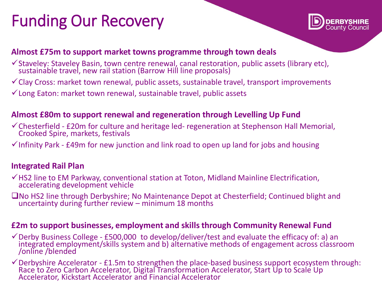# Funding Our Recovery



### **Almost £75m to support market towns programme through town deals**

- $\checkmark$  Staveley: Staveley Basin, town centre renewal, canal restoration, public assets (library etc), sustainable travel, new rail station (Barrow Hill line proposals)
- $\checkmark$  Clay Cross: market town renewal, public assets, sustainable travel, transport improvements
- $\checkmark$  Long Eaton: market town renewal, sustainable travel, public assets

### **Almost £80m to support renewal and regeneration through Levelling Up Fund**

- Chesterfield £20m for culture and heritage led- regeneration at Stephenson Hall Memorial, Crooked Spire, markets, festivals
- $\checkmark$  Infinity Park £49m for new junction and link road to open up land for jobs and housing

### **Integrated Rail Plan**

- $\checkmark$  HS2 line to EM Parkway, conventional station at Toton, Midland Mainline Electrification, accelerating development vehicle
- ■No HS2 line through Derbyshire; No Maintenance Depot at Chesterfield; Continued blight and uncertainty during further review – minimum 18 months

### **£2m to support businesses, employment and skills through Community Renewal Fund**

- $\checkmark$  Derby Business College £500,000 to develop/deliver/test and evaluate the efficacy of: a) an integrated employment/skills system and b) alternative methods of engagement across classroom /online /blended
- $\checkmark$  Derbyshire Accelerator £1.5m to strengthen the place-based business support ecosystem through:<br>Race to Zero Carbon Accelerator, Digital Transformation Accelerator, Start Up to Scale Up Accelerator, Kickstart Accelerator and Financial Accelerator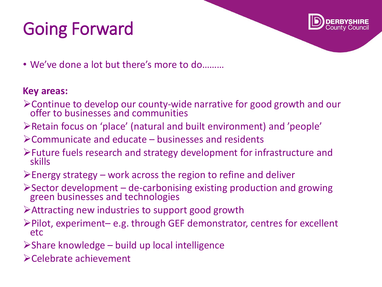# Going Forward



• We've done a lot but there's more to do………

### **Key areas:**

- Continue to develop our county-wide narrative for good growth and our offer to businesses and communities
- Retain focus on 'place' (natural and built environment) and 'people'
- Communicate and educate businesses and residents
- Future fuels research and strategy development for infrastructure and skills
- $\triangleright$  Energy strategy work across the region to refine and deliver
- $\triangleright$  Sector development de-carbonising existing production and growing green businesses and technologies
- Attracting new industries to support good growth
- Pilot, experiment– e.g. through GEF demonstrator, centres for excellent etc
- $\triangleright$ Share knowledge build up local intelligence
- Celebrate achievement